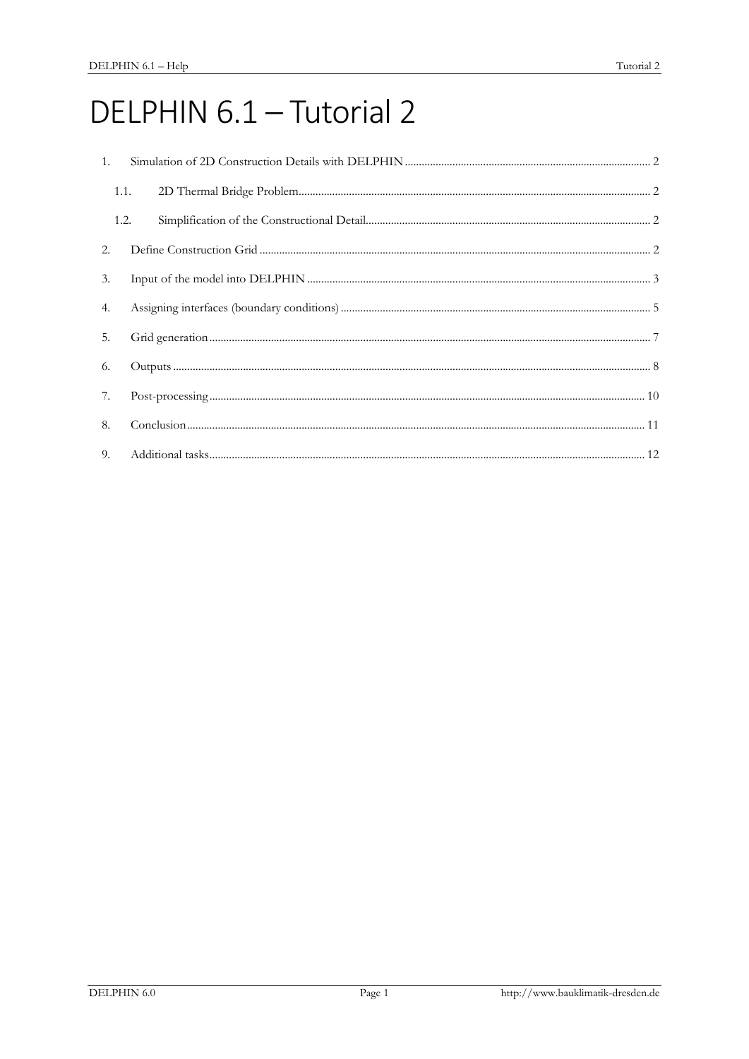# DELPHIN 6.1 - Tutorial 2

| 1.   |                                                                                                                                                                                                                                                                                                                                                                                                  |  |  |  |  |  |
|------|--------------------------------------------------------------------------------------------------------------------------------------------------------------------------------------------------------------------------------------------------------------------------------------------------------------------------------------------------------------------------------------------------|--|--|--|--|--|
| 1.1. |                                                                                                                                                                                                                                                                                                                                                                                                  |  |  |  |  |  |
| 1.2. |                                                                                                                                                                                                                                                                                                                                                                                                  |  |  |  |  |  |
| 2.   |                                                                                                                                                                                                                                                                                                                                                                                                  |  |  |  |  |  |
| 3.   |                                                                                                                                                                                                                                                                                                                                                                                                  |  |  |  |  |  |
| 4.   |                                                                                                                                                                                                                                                                                                                                                                                                  |  |  |  |  |  |
| 5.   |                                                                                                                                                                                                                                                                                                                                                                                                  |  |  |  |  |  |
| 6.   |                                                                                                                                                                                                                                                                                                                                                                                                  |  |  |  |  |  |
| 7.   | $\textbf{Post-processing} \textit{} \textit{} \textit{} \textit{} \textit{} \textit{} \textit{} \textit{} \textit{} \textit{} \textit{} \textit{} \textit{} \textit{} \textit{} \textit{} \textit{} \textit{} \textit{} \textit{} \textit{} \textit{} \textit{} \textit{} \textit{} \textit{} \textit{} \textit{} \textit{} \textit{} \textit{} \textit{} \textit{} \textit{} \textit{} \textit$ |  |  |  |  |  |
| 8.   |                                                                                                                                                                                                                                                                                                                                                                                                  |  |  |  |  |  |
| 9.   |                                                                                                                                                                                                                                                                                                                                                                                                  |  |  |  |  |  |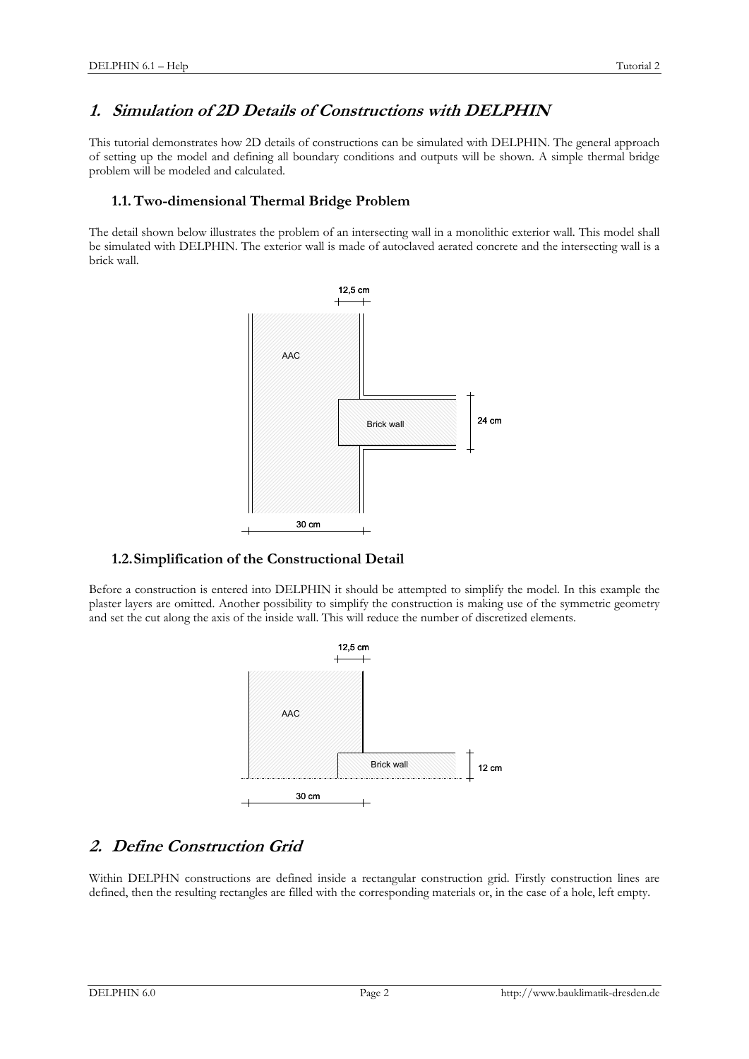## **1. Simulation of 2D Details of Constructions with DELPHIN**

This tutorial demonstrates how 2D details of constructions can be simulated with DELPHIN. The general approach of setting up the model and defining all boundary conditions and outputs will be shown. A simple thermal bridge problem will be modeled and calculated.

#### **1.1.Two-dimensional Thermal Bridge Problem**

The detail shown below illustrates the problem of an intersecting wall in a monolithic exterior wall. This model shall be simulated with DELPHIN. The exterior wall is made of autoclaved aerated concrete and the intersecting wall is a brick wall.



#### **1.2.Simplification of the Constructional Detail**

Before a construction is entered into DELPHIN it should be attempted to simplify the model. In this example the plaster layers are omitted. Another possibility to simplify the construction is making use of the symmetric geometry and set the cut along the axis of the inside wall. This will reduce the number of discretized elements.



# **2. Define Construction Grid**

Within DELPHN constructions are defined inside a rectangular construction grid. Firstly construction lines are defined, then the resulting rectangles are filled with the corresponding materials or, in the case of a hole, left empty.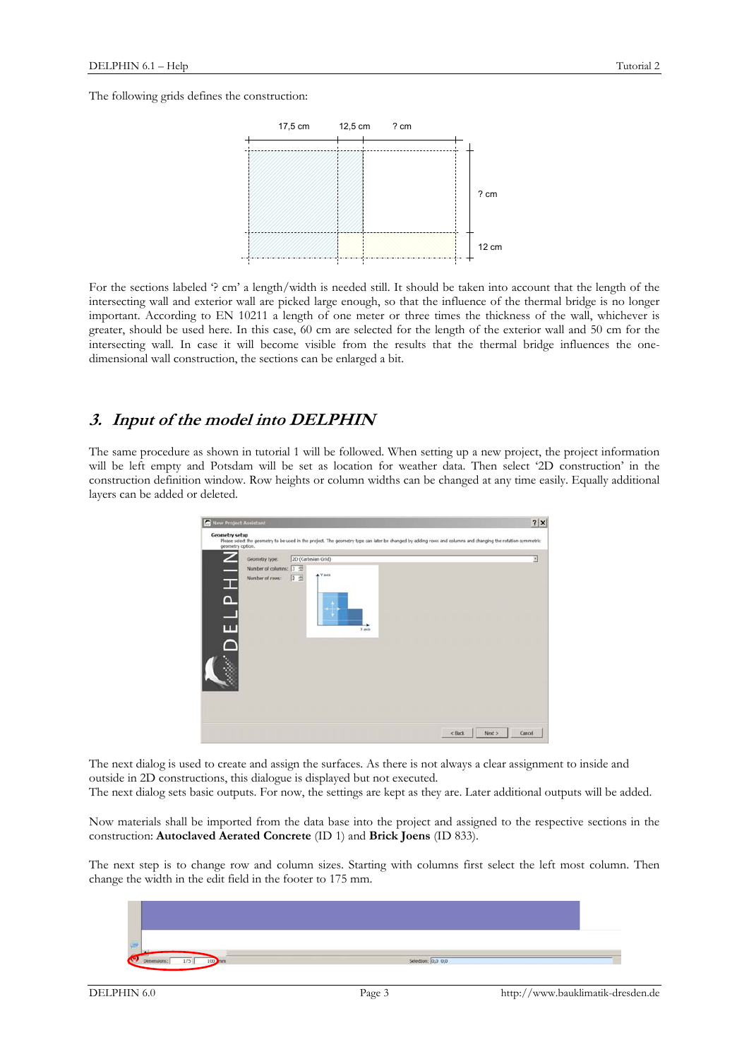The following grids defines the construction:



For the sections labeled '? cm' a length/width is needed still. It should be taken into account that the length of the intersecting wall and exterior wall are picked large enough, so that the influence of the thermal bridge is no longer important. According to EN 10211 a length of one meter or three times the thickness of the wall, whichever is greater, should be used here. In this case, 60 cm are selected for the length of the exterior wall and 50 cm for the intersecting wall. In case it will become visible from the results that the thermal bridge influences the onedimensional wall construction, the sections can be enlarged a bit.

## **3. Input of the model into DELPHIN**

The same procedure as shown in tutorial 1 will be followed. When setting up a new project, the project information will be left empty and Potsdam will be set as location for weather data. Then select '2D construction' in the construction definition window. Row heights or column widths can be changed at any time easily. Equally additional layers can be added or deleted.



The next dialog is used to create and assign the surfaces. As there is not always a clear assignment to inside and outside in 2D constructions, this dialogue is displayed but not executed.

The next dialog sets basic outputs. For now, the settings are kept as they are. Later additional outputs will be added.

Now materials shall be imported from the data base into the project and assigned to the respective sections in the construction: **Autoclaved Aerated Concrete** (ID 1) and **Brick Joens** (ID 833).

The next step is to change row and column sizes. Starting with columns first select the left most column. Then change the width in the edit field in the footer to 175 mm.

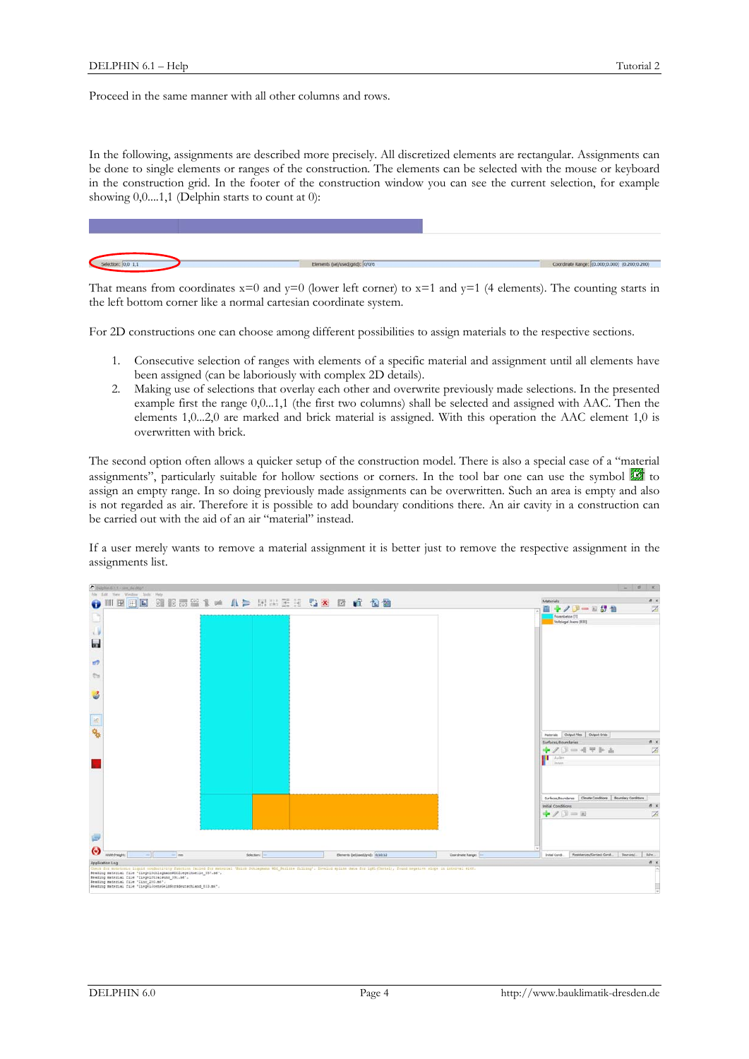Proceed in the same manner with all other columns and rows.

In the following, assignments are described more precisely. All discretized elements are rectangular. Assignments can be done to single elements or ranges of the construction. The elements can be selected with the mouse or keyboard in the construction grid. In the footer of the construction window you can see the current selection, for example showing  $0,0,...1,1$  (Delphin starts to count at 0):



That means from coordinates  $x=0$  and  $y=0$  (lower left corner) to  $x=1$  and  $y=1$  (4 elements). The counting starts in the left bottom corner like a normal cartesian coordinate system.

For 2D constructions one can choose among different possibilities to assign materials to the respective sections.

- 1. Consecutive selection of ranges with elements of a specific material and assignment until all elements have been assigned (can be laboriously with complex 2D details).
- 2. Making use of selections that overlay each other and overwrite previously made selections. In the presented example first the range 0,0...1,1 (the first two columns) shall be selected and assigned with AAC. Then the elements 1,0...2,0 are marked and brick material is assigned. With this operation the AAC element 1,0 is overwritten with brick.

The second option often allows a quicker setup of the construction model. There is also a special case of a "material assignments", particularly suitable for hollow sections or corners. In the tool bar one can use the symbol  $\mathbb{Z}$  to assign an empty range. In so doing previously made assignments can be overwritten. Such an area is empty and also is not regarded as air. Therefore it is possible to add boundary conditions there. An air cavity in a construction can be carried out with the aid of an air "material" instead.

If a user merely wants to remove a material assignment it is better just to remove the respective assignment in the assignments list.

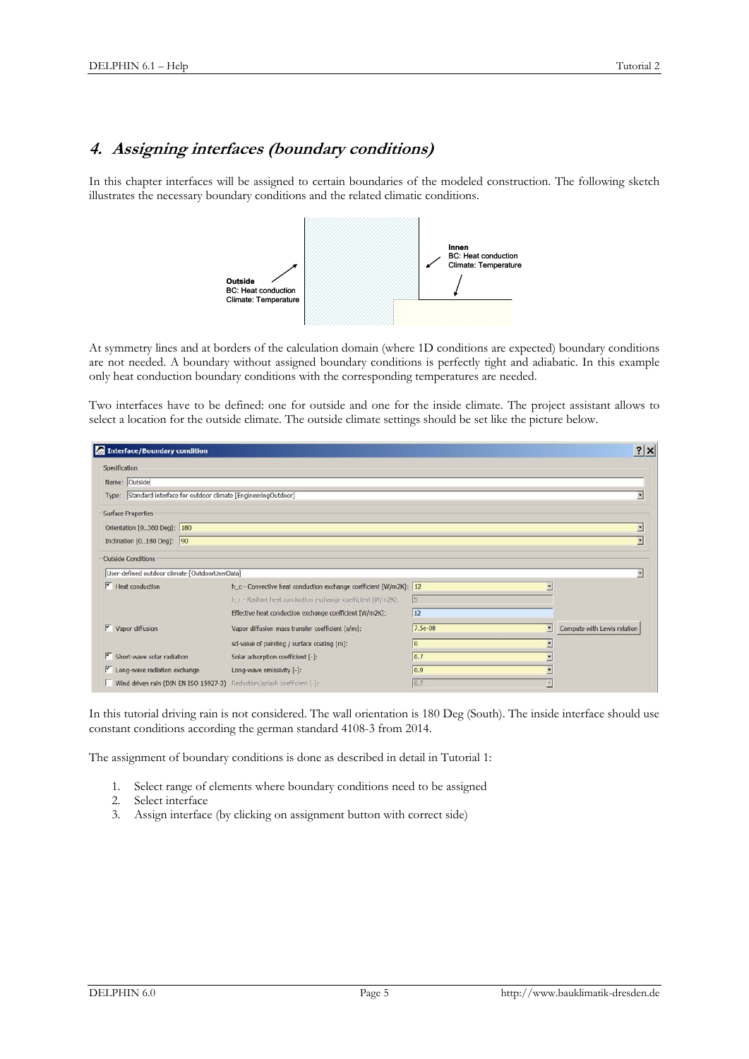#### **4. Assigning interfaces (boundary conditions)**

In this chapter interfaces will be assigned to certain boundaries of the modeled construction. The following sketch illustrates the necessary boundary conditions and the related climatic conditions.



At symmetry lines and at borders of the calculation domain (where 1D conditions are expected) boundary conditions are not needed. A boundary without assigned boundary conditions is perfectly tight and adiabatic. In this example only heat conduction boundary conditions with the corresponding temperatures are needed.

Two interfaces have to be defined: one for outside and one for the inside climate. The project assistant allows to select a location for the outside climate. The outside climate settings should be set like the picture below.

| Interface/Boundary condition                                            |                                                                   |               |   | $?$ $\times$                |
|-------------------------------------------------------------------------|-------------------------------------------------------------------|---------------|---|-----------------------------|
| Specification                                                           |                                                                   |               |   |                             |
| Name: Outside                                                           |                                                                   |               |   |                             |
| Type: Standard interface for outdoor climate [EngineeringOutdoor]       |                                                                   |               |   |                             |
| <b>Surface Properties</b>                                               |                                                                   |               |   |                             |
| Orientation [0360 Deg]: 180                                             |                                                                   |               |   | Ξ                           |
| Indination [0180 Deg]: 90                                               |                                                                   |               |   | E                           |
| <b>Outside Conditions</b>                                               |                                                                   |               |   |                             |
| User-defined outdoor climate [OutdoorUserData]                          |                                                                   |               |   |                             |
| $H$ eat conduction                                                      | h_c - Convective heat conduction exchange coefficient [W/m2K]: 12 |               |   |                             |
|                                                                         | h_r - Radiant heat conduction exchange coefficient [W/m2K]:       | 15            |   |                             |
|                                                                         | Effective heat conduction exchange coefficient [W/m2K]:           | 12            |   |                             |
| $\triangledown$ Vapor diffusion                                         | Vapor diffusion mass transfer coefficient [s/m]:                  | 7.5e-08       | × | Compute with Lewis relation |
|                                                                         | sd-value of painting / surface coating [m]:                       | lo            |   |                             |
| $\triangleright$ Short-wave solar radiation                             | Solar adsorption coefficient [-]:                                 | 0.7           |   |                             |
| Long-wave radiation exchange                                            | Long-wave emissivity [-]:                                         | $ 0.9\rangle$ |   |                             |
| Wind driven rain (DIN EN ISO 15927-3) Reduction/splash coefficient [-]: |                                                                   | 0.7           |   |                             |

In this tutorial driving rain is not considered. The wall orientation is 180 Deg (South). The inside interface should use constant conditions according the german standard 4108-3 from 2014.

The assignment of boundary conditions is done as described in detail in Tutorial 1:

- 1. Select range of elements where boundary conditions need to be assigned
- 2. Select interface
- 3. Assign interface (by clicking on assignment button with correct side)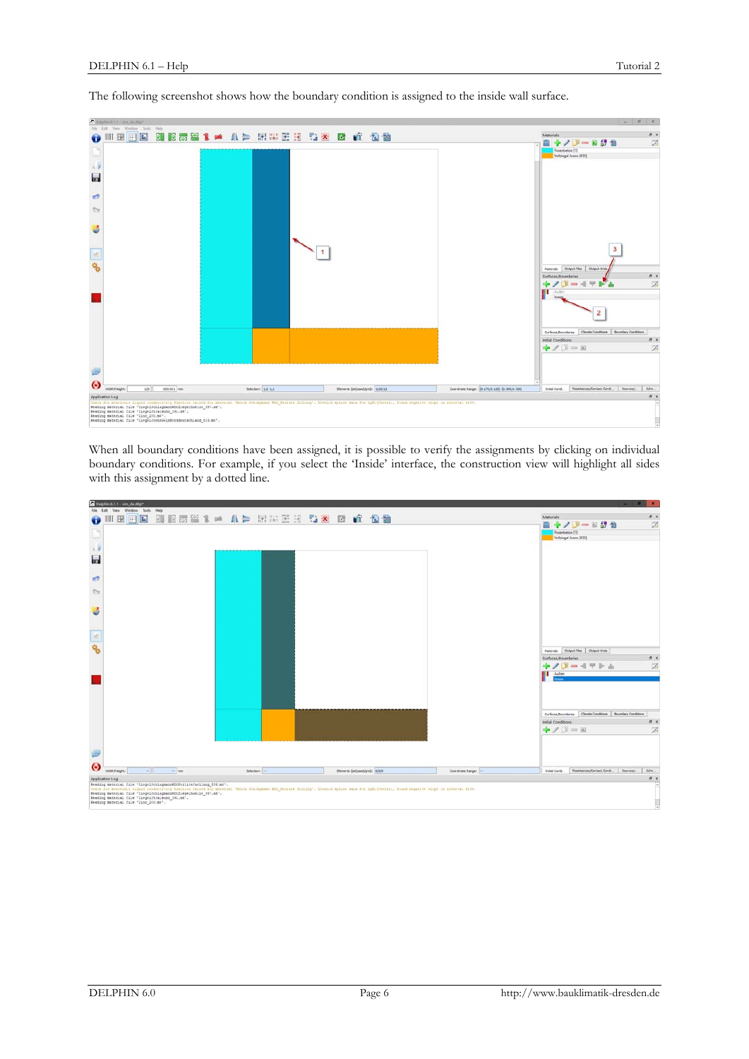

The following screenshot shows how the boundary condition is assigned to the inside wall surface.

When all boundary conditions have been assigned, it is possible to verify the assignments by clicking on individual boundary conditions. For example, if you select the 'Inside' interface, the construction view will highlight all sides with this assignment by a dotted line.

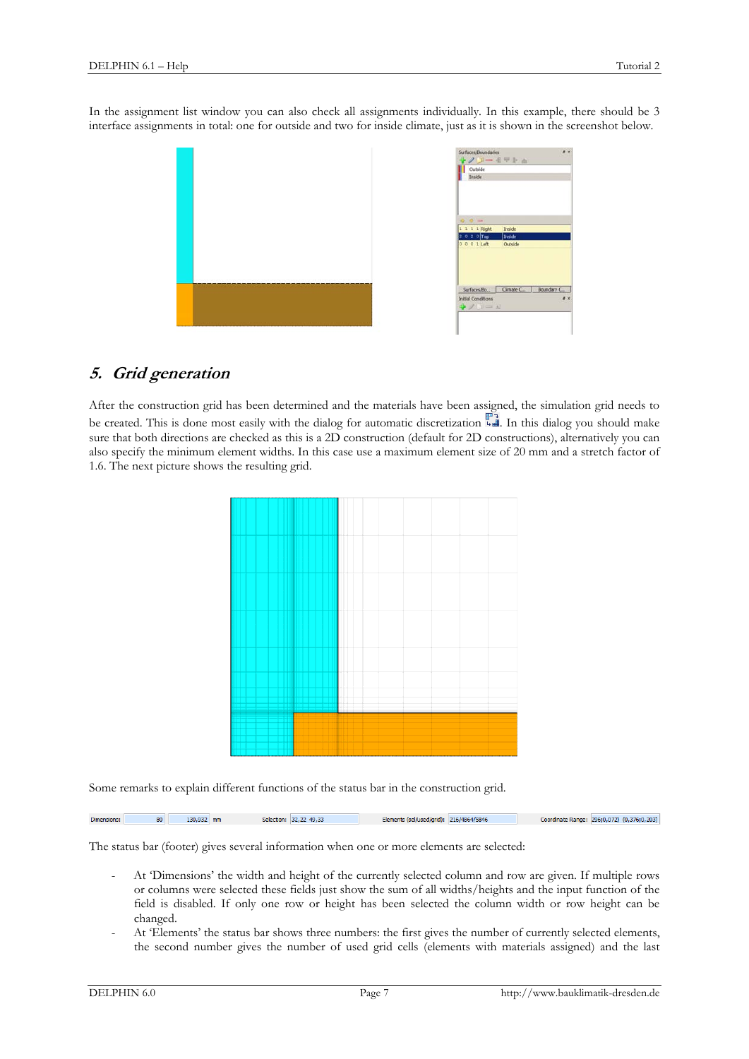In the assignment list window you can also check all assignments individually. In this example, there should be 3 interface assignments in total: one for outside and two for inside climate, just as it is shown in the screenshot below.



## **5. Grid generation**

After the construction grid has been determined and the materials have been assigned, the simulation grid needs to be created. This is done most easily with the dialog for automatic discretization  $\overline{\mathbb{F}_{\mathbb{H}}}$ . In this dialog you should make sure that both directions are checked as this is a 2D construction (default for 2D constructions), alternatively you can also specify the minimum element widths. In this case use a maximum element size of 20 mm and a stretch factor of 1.6. The next picture shows the resulting grid.

Some remarks to explain different functions of the status bar in the construction grid.

130,932 mm Selection: 32,22 49,33 Elements (sel/used/grid): 216/4864/5846 Coordinate Range: 296;0,072) (0,376;0,203) Dimensions: 80

The status bar (footer) gives several information when one or more elements are selected:

- At 'Dimensions' the width and height of the currently selected column and row are given. If multiple rows or columns were selected these fields just show the sum of all widths/heights and the input function of the field is disabled. If only one row or height has been selected the column width or row height can be changed.
- At 'Elements' the status bar shows three numbers: the first gives the number of currently selected elements, the second number gives the number of used grid cells (elements with materials assigned) and the last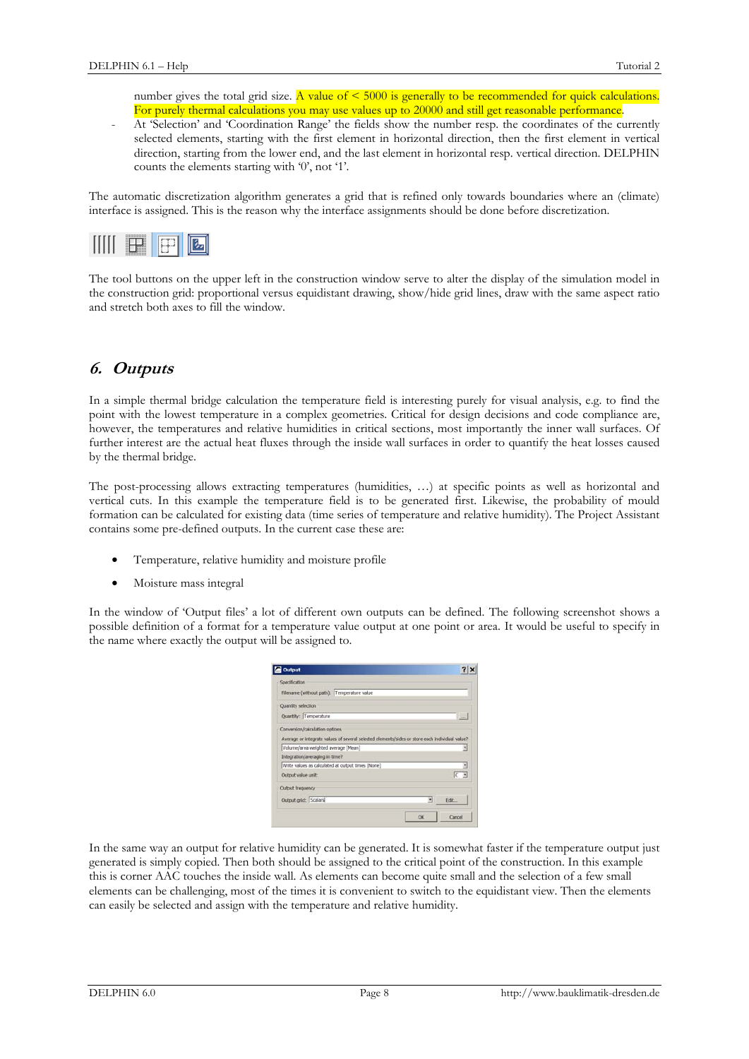number gives the total grid size. A value of  $\leq 5000$  is generally to be recommended for quick calculations. For purely thermal calculations you may use values up to 20000 and still get reasonable performance.

- At 'Selection' and 'Coordination Range' the fields show the number resp. the coordinates of the currently selected elements, starting with the first element in horizontal direction, then the first element in vertical direction, starting from the lower end, and the last element in horizontal resp. vertical direction. DELPHIN counts the elements starting with '0', not '1'.

The automatic discretization algorithm generates a grid that is refined only towards boundaries where an (climate) interface is assigned. This is the reason why the interface assignments should be done before discretization.



The tool buttons on the upper left in the construction window serve to alter the display of the simulation model in the construction grid: proportional versus equidistant drawing, show/hide grid lines, draw with the same aspect ratio and stretch both axes to fill the window.

### **6. Outputs**

In a simple thermal bridge calculation the temperature field is interesting purely for visual analysis, e.g. to find the point with the lowest temperature in a complex geometries. Critical for design decisions and code compliance are, however, the temperatures and relative humidities in critical sections, most importantly the inner wall surfaces. Of further interest are the actual heat fluxes through the inside wall surfaces in order to quantify the heat losses caused by the thermal bridge.

The post-processing allows extracting temperatures (humidities, …) at specific points as well as horizontal and vertical cuts. In this example the temperature field is to be generated first. Likewise, the probability of mould formation can be calculated for existing data (time series of temperature and relative humidity). The Project Assistant contains some pre-defined outputs. In the current case these are:

- Temperature, relative humidity and moisture profile
- Moisture mass integral

In the window of 'Output files' a lot of different own outputs can be defined. The following screenshot shows a possible definition of a format for a temperature value output at one point or area. It would be useful to specify in the name where exactly the output will be assigned to.

| <b>Dutput</b>                                                                                    |                                                                                                |
|--------------------------------------------------------------------------------------------------|------------------------------------------------------------------------------------------------|
| Specification                                                                                    |                                                                                                |
| Filename (without path): Temperature value                                                       |                                                                                                |
| Quantity selection                                                                               |                                                                                                |
| Quantity: Temperature                                                                            | <b>West</b>                                                                                    |
| Conversion/calculation options                                                                   |                                                                                                |
|                                                                                                  |                                                                                                |
|                                                                                                  | Average or integrate values of several selected elements/sides or store each individual value? |
| Volume/area weighted average [Mean]                                                              | ۰                                                                                              |
|                                                                                                  |                                                                                                |
| Write values as calculated at output times [None]                                                |                                                                                                |
|                                                                                                  |                                                                                                |
|                                                                                                  |                                                                                                |
| Integration/averaging in time?<br>Output value unit:<br>Output frequency<br>Output grid: Scalars | 킈<br>Edit                                                                                      |

In the same way an output for relative humidity can be generated. It is somewhat faster if the temperature output just generated is simply copied. Then both should be assigned to the critical point of the construction. In this example this is corner AAC touches the inside wall. As elements can become quite small and the selection of a few small elements can be challenging, most of the times it is convenient to switch to the equidistant view. Then the elements can easily be selected and assign with the temperature and relative humidity.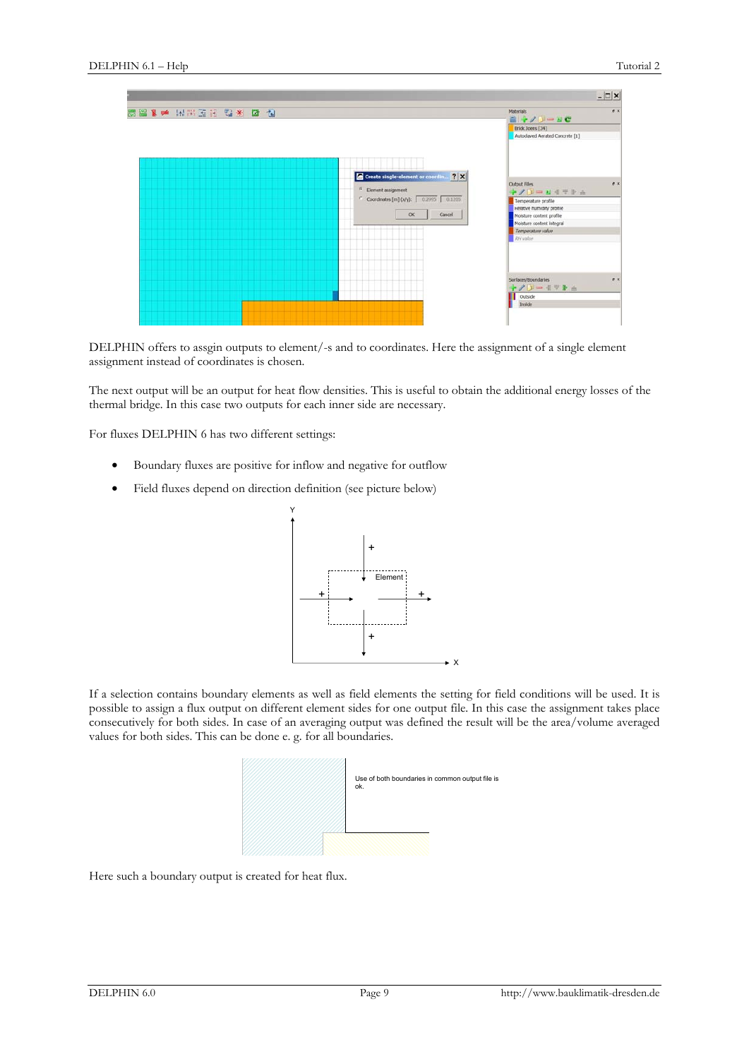|                                      |                                                                                                                                  |                                                                                                                                                                         | $- \Box  \times$ |
|--------------------------------------|----------------------------------------------------------------------------------------------------------------------------------|-------------------------------------------------------------------------------------------------------------------------------------------------------------------------|------------------|
| 85 88 1 ★ 14 14 34 35 13 14 16 16 17 |                                                                                                                                  | Materials<br>$\mathbf{E} + \mathbf{1} \mathbf{0} = \mathbf{E} \mathbf{C}$<br>Brick Joens [34]<br>Autodaved Aerated Concrete [1]                                         | a x              |
|                                      | Create single-element or coordin ? X<br><sup>6</sup> Element assignment<br>Coordinates [m] (x/y): 0.2995 0.1205<br>OK:<br>Cancel | Output Files<br>+/D-B4TPa<br>Temperature profile<br>Relative humidity profile<br>Moisture content profile<br>Moisture content integral<br>Temperature value<br>RH value | <b>B</b> K       |
|                                      |                                                                                                                                  | Surfaces/Boundaries<br>ネノジー モデをふ<br>Outside<br>Inside                                                                                                                   | # x              |

DELPHIN offers to assgin outputs to element/-s and to coordinates. Here the assignment of a single element assignment instead of coordinates is chosen.

The next output will be an output for heat flow densities. This is useful to obtain the additional energy losses of the thermal bridge. In this case two outputs for each inner side are necessary.

For fluxes DELPHIN 6 has two different settings:

- Boundary fluxes are positive for inflow and negative for outflow
- Field fluxes depend on direction definition (see picture below)



If a selection contains boundary elements as well as field elements the setting for field conditions will be used. It is possible to assign a flux output on different element sides for one output file. In this case the assignment takes place consecutively for both sides. In case of an averaging output was defined the result will be the area/volume averaged values for both sides. This can be done e. g. for all boundaries.



Here such a boundary output is created for heat flux.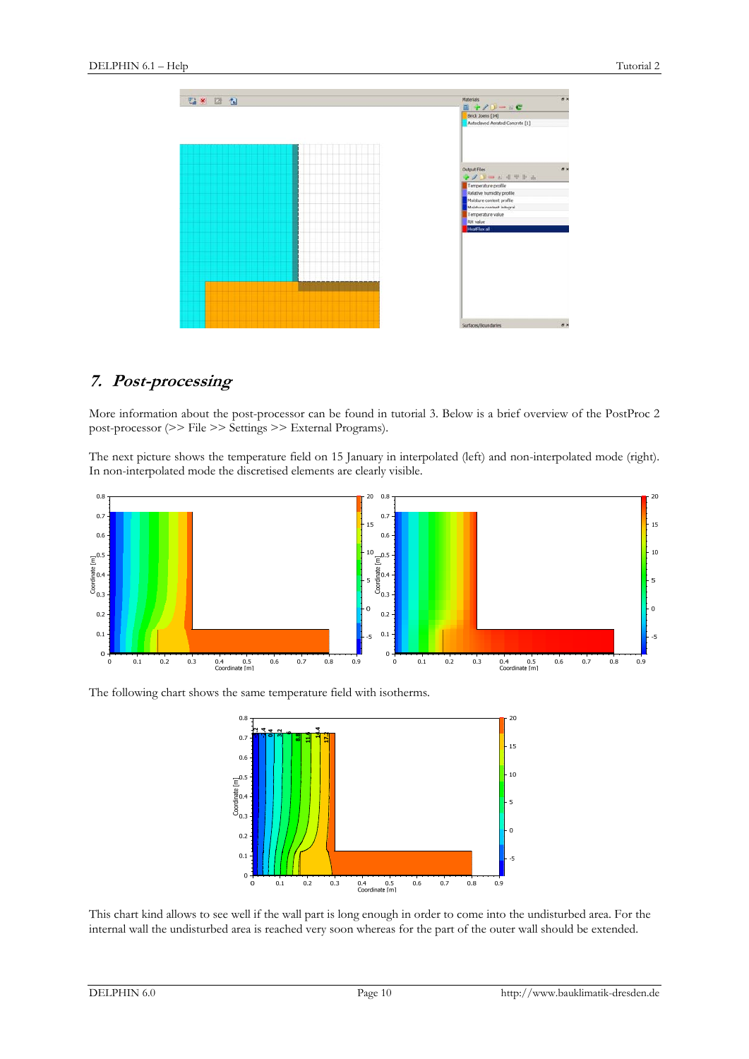

## **7. Post-processing**

More information about the post-processor can be found in tutorial 3. Below is a brief overview of the PostProc 2 post-processor (>> File >> Settings >> External Programs).

The next picture shows the temperature field on 15 January in interpolated (left) and non-interpolated mode (right). In non-interpolated mode the discretised elements are clearly visible.



The following chart shows the same temperature field with isotherms.



This chart kind allows to see well if the wall part is long enough in order to come into the undisturbed area. For the internal wall the undisturbed area is reached very soon whereas for the part of the outer wall should be extended.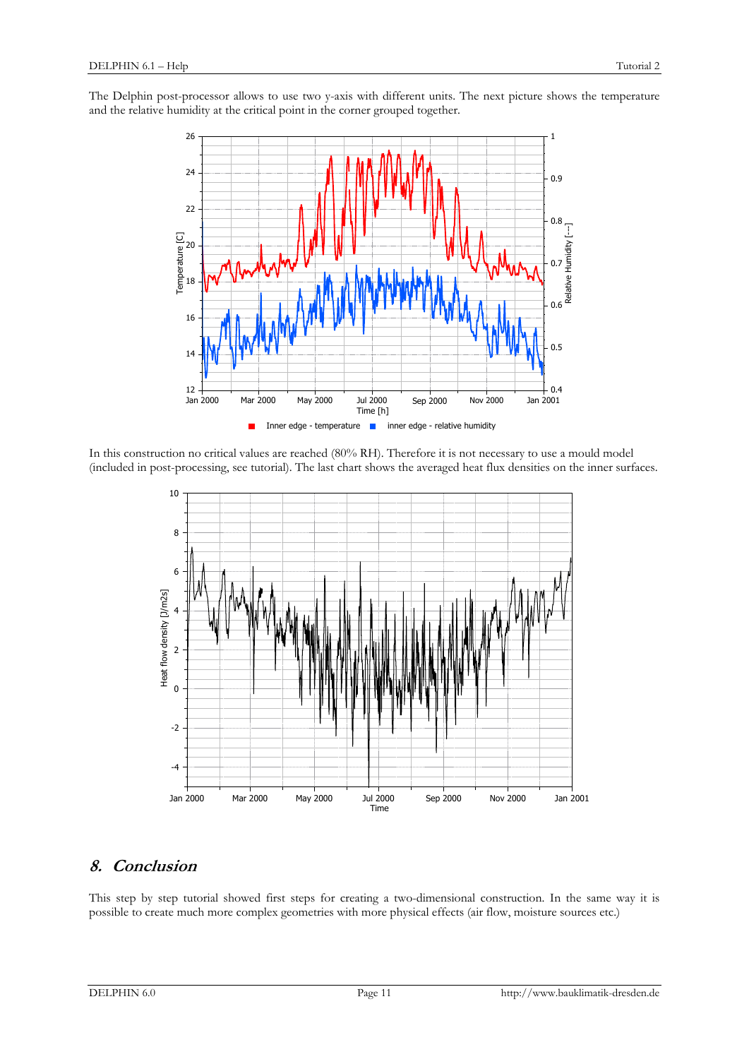The Delphin post-processor allows to use two y-axis with different units. The next picture shows the temperature and the relative humidity at the critical point in the corner grouped together.



In this construction no critical values are reached (80% RH). Therefore it is not necessary to use a mould model (included in post-processing, see tutorial). The last chart shows the averaged heat flux densities on the inner surfaces.



## **8. Conclusion**

This step by step tutorial showed first steps for creating a two-dimensional construction. In the same way it is possible to create much more complex geometries with more physical effects (air flow, moisture sources etc.)